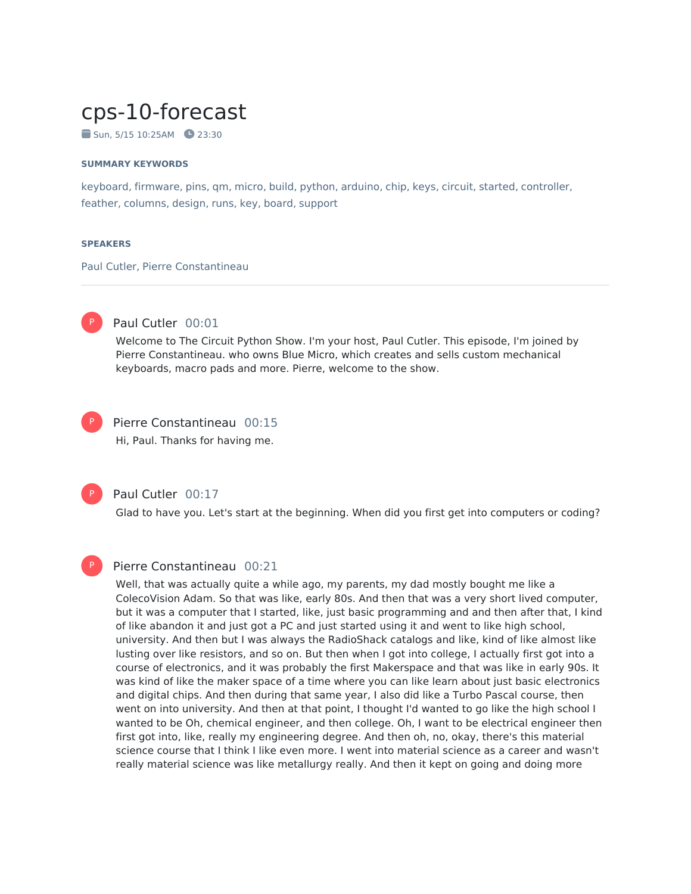# cps-10-forecast

 $\blacksquare$  Sun, 5/15 10:25AM  $\blacksquare$  23:30

#### **SUMMARY KEYWORDS**

keyboard, firmware, pins, qm, micro, build, python, arduino, chip, keys, circuit, started, controller, feather, columns, design, runs, key, board, support

#### **SPEAKERS**

Paul Cutler, Pierre Constantineau



# Paul Cutler 00:01

Welcome to The Circuit Python Show. I'm your host, Paul Cutler. This episode, I'm joined by Pierre Constantineau. who owns Blue Micro, which creates and sells custom mechanical keyboards, macro pads and more. Pierre, welcome to the show.



Pierre Constantineau 00:15

Hi, Paul. Thanks for having me.



P

#### Paul Cutler 00:17

Glad to have you. Let's start at the beginning. When did you first get into computers or coding?

# Pierre Constantineau 00:21

Well, that was actually quite a while ago, my parents, my dad mostly bought me like a ColecoVision Adam. So that was like, early 80s. And then that was a very short lived computer, but it was a computer that I started, like, just basic programming and and then after that, I kind of like abandon it and just got a PC and just started using it and went to like high school, university. And then but I was always the RadioShack catalogs and like, kind of like almost like lusting over like resistors, and so on. But then when I got into college, I actually first got into a course of electronics, and it was probably the first Makerspace and that was like in early 90s. It was kind of like the maker space of a time where you can like learn about just basic electronics and digital chips. And then during that same year, I also did like a Turbo Pascal course, then went on into university. And then at that point, I thought I'd wanted to go like the high school I wanted to be Oh, chemical engineer, and then college. Oh, I want to be electrical engineer then first got into, like, really my engineering degree. And then oh, no, okay, there's this material science course that I think I like even more. I went into material science as a career and wasn't really material science was like metallurgy really. And then it kept on going and doing more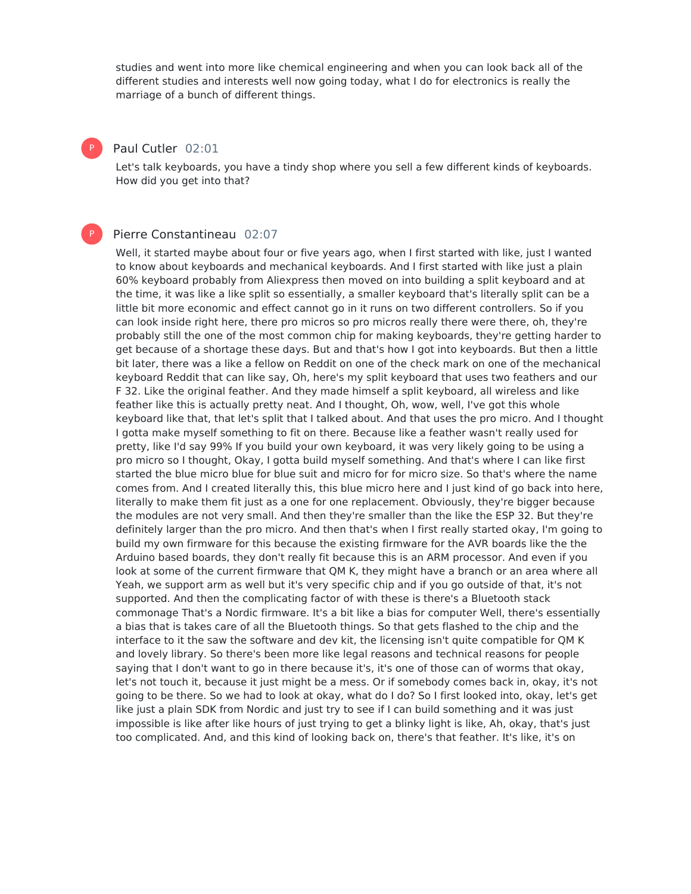studies and went into more like chemical engineering and when you can look back all of the different studies and interests well now going today, what I do for electronics is really the marriage of a bunch of different things.

## Paul Cutler 02:01

P

P

Let's talk keyboards, you have a tindy shop where you sell a few different kinds of keyboards. How did you get into that?

## Pierre Constantineau 02:07

Well, it started maybe about four or five years ago, when I first started with like, just I wanted to know about keyboards and mechanical keyboards. And I first started with like just a plain 60% keyboard probably from Aliexpress then moved on into building a split keyboard and at the time, it was like a like split so essentially, a smaller keyboard that's literally split can be a little bit more economic and effect cannot go in it runs on two different controllers. So if you can look inside right here, there pro micros so pro micros really there were there, oh, they're probably still the one of the most common chip for making keyboards, they're getting harder to get because of a shortage these days. But and that's how Igot into keyboards. But then a little bit later, there was a like a fellow on Reddit on one of the check mark on one of the mechanical keyboard Reddit that can like say, Oh, here's my split keyboard that uses two feathers and our F 32. Like the original feather. And they made himself a split keyboard, all wireless and like feather like this is actually pretty neat. And I thought, Oh, wow, well, I've got this whole keyboard like that, that let's split that I talked about. And that uses the pro micro. And I thought I gotta make myself something to fit on there. Because like a feather wasn't really used for pretty, like I'd say 99% If you build your own keyboard, it was very likely going to be using a pro micro so I thought, Okay, I gotta build myself something. And that's where I can like first started the blue micro blue for blue suit and micro for for micro size. So that's where the name comes from. And I created literally this, this blue micro here and I just kind of go back into here, literally to make them fit just as a one for one replacement. Obviously, they're bigger because the modules are not very small. And then they're smaller than the like the ESP 32. But they're definitely larger than the pro micro. And then that's when I first really started okay, I'm going to build my own firmware for this because the existing firmware for the AVR boards like the the Arduino based boards, they don't really fit because this is an ARM processor. And even if you look at some of the current firmware that QM K, they might have a branch or an area where all Yeah, we support arm as well but it's very specific chip and if you go outside of that, it's not supported. And then the complicating factor of with these is there's a Bluetooth stack commonage That's a Nordic firmware. It's a bit like a bias for computer Well, there's essentially a bias that is takes care of all the Bluetooth things. So that gets flashed to the chip and the interface to it the saw the software and dev kit, the licensing isn't quite compatible for QM K and lovely library. So there's been more like legal reasons and technical reasons for people saying that I don't want to go in there because it's, it's one of those can of worms that okay, let's not touch it, because it just might be a mess. Or if somebody comes back in, okay, it's not going to be there. So we had to look at okay, what do I do? So I first looked into, okay, let's get like just a plain SDK from Nordic and just try to see if I can build something and it was just impossible is like after like hours of just trying to get a blinky light is like, Ah, okay, that's just too complicated. And, and this kind of looking back on, there's that feather. It's like, it's on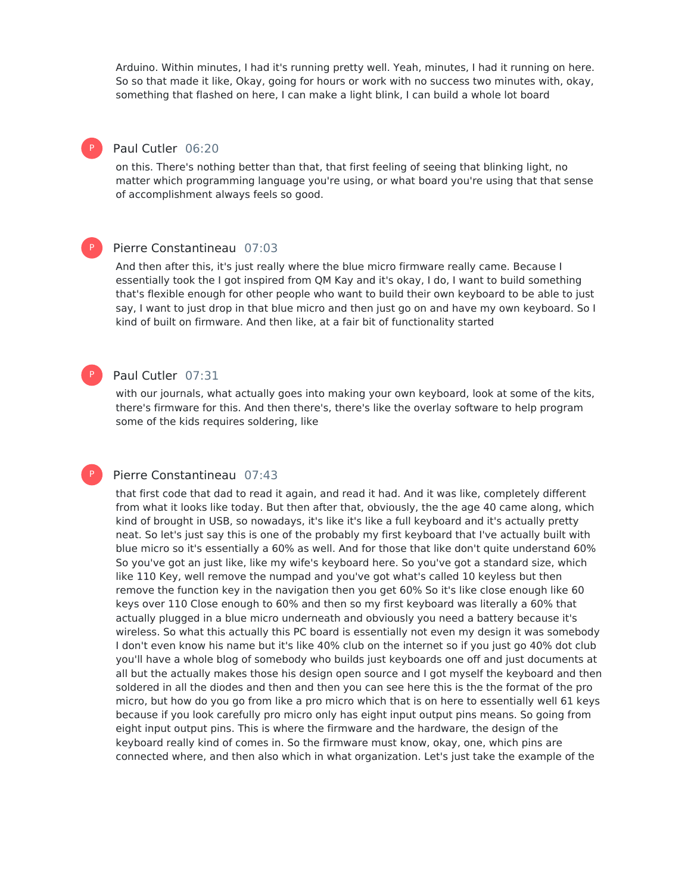Arduino. Within minutes, I had it's running pretty well. Yeah, minutes, I had it running on here. So so that made it like, Okay, going for hours or work with no success two minutes with, okay, something that flashed on here, I can make a light blink, I can build a whole lot board

## Paul Cutler 06:20

P

P

P

P

on this. There's nothing better than that, that first feeling of seeing that blinking light, no matter which programming language you're using, or what board you're using that that sense of accomplishment always feels so good.

#### Pierre Constantineau 07:03

And then after this, it's just really where the blue micro firmware really came. Because I essentially took the I got inspired from QM Kay and it's okay, I do, I want to build something that's flexible enough for other people who want to build their own keyboard to be able to just say, I want to just drop in that blue micro and then just go on and have my own keyboard. So I kind of built on firmware. And then like, at a fair bit of functionality started

#### Paul Cutler 07:31

with our journals, what actually goes into making your own keyboard, look at some of the kits, there's firmware for this. And then there's, there's like the overlay software to help program some of the kids requires soldering, like

#### Pierre Constantineau 07:43

that first code that dad to read it again, and read it had. And it was like, completely different from what it looks like today. But then after that, obviously, the the age 40 came along, which kind of brought in USB, so nowadays, it's like it's like a full keyboard and it's actually pretty neat. So let's just say this is one of the probably my first keyboard that I've actually built with blue micro so it's essentially a 60% as well. And for those that like don't quite understand 60% So you've got an just like, like my wife's keyboard here. So you've got a standard size, which like 110 Key, well remove the numpad and you've got what's called 10 keyless but then remove the function key in the navigation then you get 60% So it's like close enough like 60 keys over 110 Close enough to 60% and then so my first keyboard was literally a 60% that actually plugged in a blue micro underneath and obviously you need a battery because it's wireless. So what this actually this PC board is essentially not even my design it was somebody I don't even know his name but it's like 40% club on the internet so if you just go 40% dot club you'll have a whole blog of somebody who builds just keyboards one off and just documents at all but the actually makes those his design open source and I got myself the keyboard and then soldered in all the diodes and then and then you can see here this is the the format of the pro micro, but how do you go from like a pro micro which that is on here to essentially well 61 keys because if you look carefully pro micro only has eight input output pins means. So going from eight input output pins. This is where the firmware and the hardware, the design of the keyboard really kind of comes in. So the firmware must know, okay, one, which pins are connected where, and then also which in what organization. Let's just take the example of the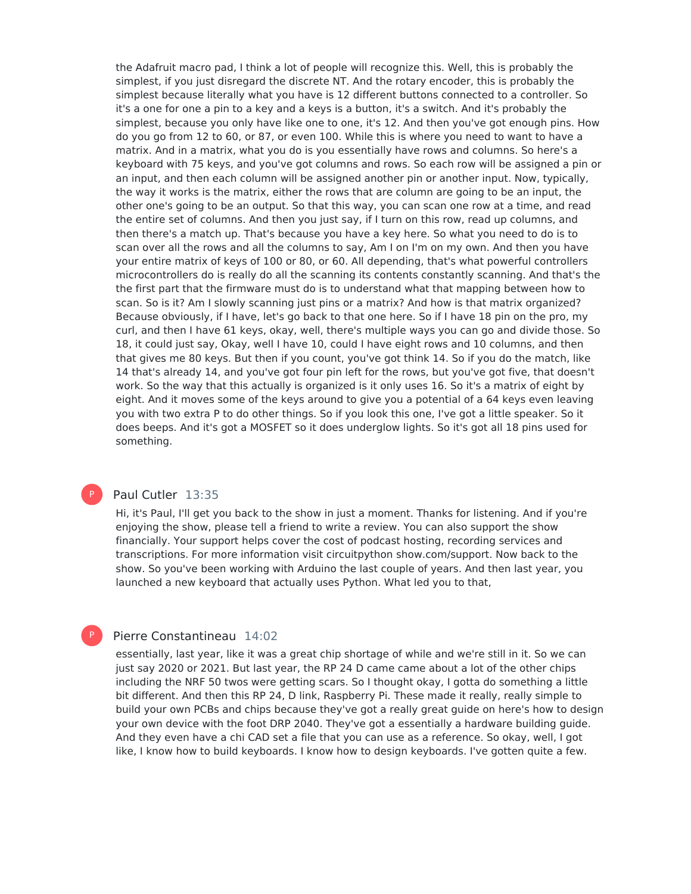the Adafruit macro pad, I think a lot of people will recognize this. Well, this is probably the simplest, if you just disregard the discrete NT. And the rotary encoder, this is probably the simplest because literally what you have is 12 different buttons connected to a controller. So it's a one for one a pin to a key and a keys is a button, it's a switch. And it's probably the simplest, because you only have like one to one, it's 12. And then you've got enough pins. How do you go from 12 to 60, or 87, or even 100. While this is where you need to want to have a matrix. And in a matrix, what you do is you essentially have rows and columns. So here's a keyboard with 75 keys, and you've got columns and rows. So each row will be assigned a pin or an input, and then each column will be assigned another pin or another input. Now, typically, the way it works is the matrix, either the rows that are column are going to be an input, the other one's going to be an output. So that this way, you can scan one row at a time, and read the entire set of columns. And then you just say, if I turn on this row, read up columns, and then there's a match up. That's because you have a key here. So what you need to do is to scan over all the rows and all the columns to say, Am I on I'm on my own. And then you have your entire matrix of keys of 100 or 80, or 60. All depending, that's what powerful controllers microcontrollers do is really do all the scanning its contents constantly scanning. And that's the the first part that the firmware must do is to understand what that mapping between how to scan. So is it? Am I slowly scanning just pins or a matrix? And how is that matrix organized? Because obviously, if I have, let's go back to that one here. So if I have 18 pin on the pro, my curl, and then I have 61 keys, okay, well, there's multiple ways you can go and divide those. So 18, it could just say, Okay, well I have 10, could I have eight rows and 10 columns, and then that gives me 80 keys. But then if you count, you've got think 14. So if you do the match, like 14 that's already 14, and you've got four pin left for the rows, but you've got five, that doesn't work. So the way that this actually is organized is it only uses 16. So it's a matrix of eight by eight. And it moves some of the keys around to give you a potential of a 64 keys even leaving you with two extra P to do other things. So if you look this one, I've got a little speaker. So it does beeps. And it's got a MOSFET so it does underglow lights. So it's got all 18 pins used for something.

# P

P

## Paul Cutler 13:35

Hi, it's Paul, I'll get you back to the show in just a moment. Thanks for listening. And if you're enjoying the show, please tell a friend to write a review. You can also support the show financially. Your support helps cover the cost of podcast hosting, recording services and transcriptions. For more information visit circuitpython show.com/support. Now back to the show. So you've been working with Arduino the last couple of years. And then last year, you launched a new keyboard that actually uses Python. What led you to that,

## Pierre Constantineau 14:02

essentially, last year, like it was a great chip shortage of while and we're still in it. So we can just say 2020 or 2021. But last year, the RP 24 D came came about a lot of the other chips including the NRF 50 twos were getting scars. So I thought okay, I gotta do something a little bit different. And then this RP 24, D link, Raspberry Pi. These made it really, really simple to build your own PCBs and chips because they've got a really great guide on here's how to design your own device with the foot DRP 2040. They've got a essentially a hardware building guide. And they even have a chi CAD set a file that you can use as a reference. So okay, well, I got like, I know how to build keyboards. I know how to design keyboards. I've gotten quite a few.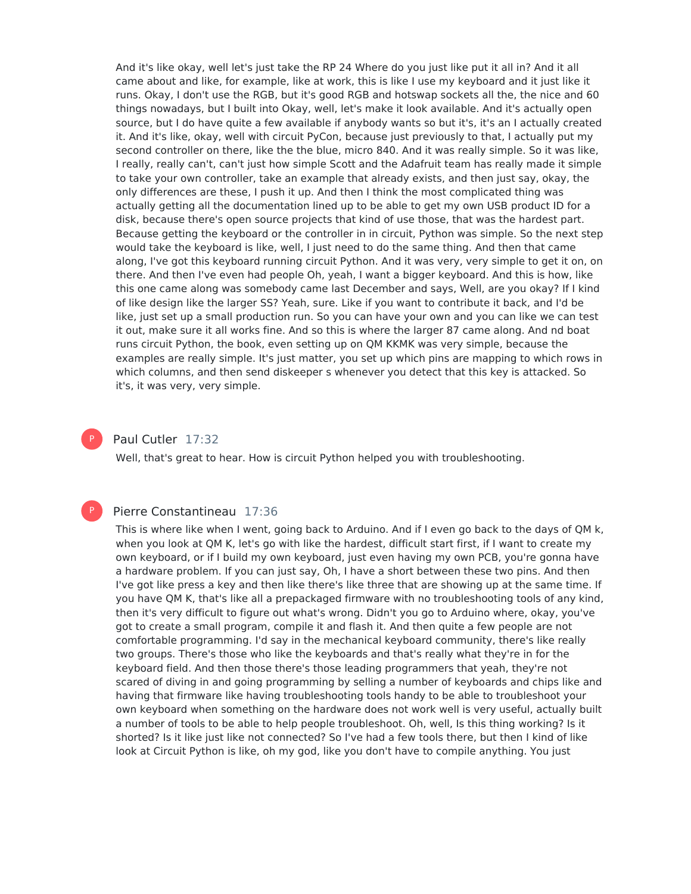And it's like okay, well let's just take the RP 24 Where do you just like put it all in? And it all came about and like, for example, like at work, this is like I use my keyboard and it just like it runs. Okay, I don't use the RGB, but it's good RGB and hotswap sockets all the, the nice and 60 things nowadays, but I built into Okay, well, let's make it look available. And it's actually open source, but I do have quite a few available if anybody wants so but it's, it's an I actually created it. And it's like, okay, well with circuit PyCon, because just previously to that, I actually put my second controller on there, like the the blue, micro 840. And it was really simple. So it was like, I really, really can't, can't just how simple Scott and the Adafruit team has really made it simple to take your own controller, take an example that already exists, and then just say, okay, the only differences are these, I push it up. And then I think the most complicated thing was actually getting all the documentation lined up to be able to get my own USB product ID for a disk, because there's open source projects that kind of use those, that was the hardest part. Because getting the keyboard or the controller in in circuit, Python was simple. So the next step would take the keyboard is like, well, I just need to do the same thing. And then that came along, I've got this keyboard running circuit Python. And it was very, very simple to get it on, on there. And then I've even had people Oh, yeah, I want a bigger keyboard. And this is how, like this one came along was somebody came last December and says, Well, are you okay? If I kind of like design like the larger SS? Yeah, sure. Like if you want to contribute it back, and I'd be like, just set up a small production run. So you can have your own and you can like we can test it out, make sure it all works fine. And so this is where the larger 87 came along. And nd boat runs circuit Python, the book, even setting up on QM KKMK was very simple, because the examples are really simple. It's just matter, you set up which pins are mapping to which rows in which columns, and then send diskeeper s whenever you detect that this key is attacked. So it's, it was very, very simple.

P

#### Paul Cutler 17:32

Well, that's great to hear. How is circuit Python helped you with troubleshooting.

#### P

#### Pierre Constantineau 17:36

This is where like when I went, going back to Arduino. And if I even go back to the days of QM k, when you look at QM K, let's go with like the hardest, difficult start first, if I want to create my own keyboard, or if I build my own keyboard, just even having my own PCB, you're gonna have a hardware problem. If you can just say, Oh, I have a short between these two pins. And then I've got like press a key and then like there's like three that are showing up at the same time. If you have QM K, that's like all a prepackaged firmware with no troubleshooting tools of any kind, then it's very difficult to figure out what's wrong. Didn't you go to Arduino where, okay, you've got to create a small program, compile it and flash it. And then quite a few people are not comfortable programming. I'd say in the mechanical keyboard community, there's like really two groups. There's those who like the keyboards and that's really what they're in for the keyboard field. And then those there's those leading programmers that yeah, they're not scared of diving in and going programming by selling a number of keyboards and chips like and having that firmware like having troubleshooting tools handy to be able to troubleshoot your own keyboard when something on the hardware does not work well is very useful, actually built a number of tools to be able to help people troubleshoot. Oh, well, Is this thing working? Is it shorted? Is it like just like not connected? So I've had a few tools there, but then I kind of like look at Circuit Python is like, oh my god, like you don't have to compile anything. You just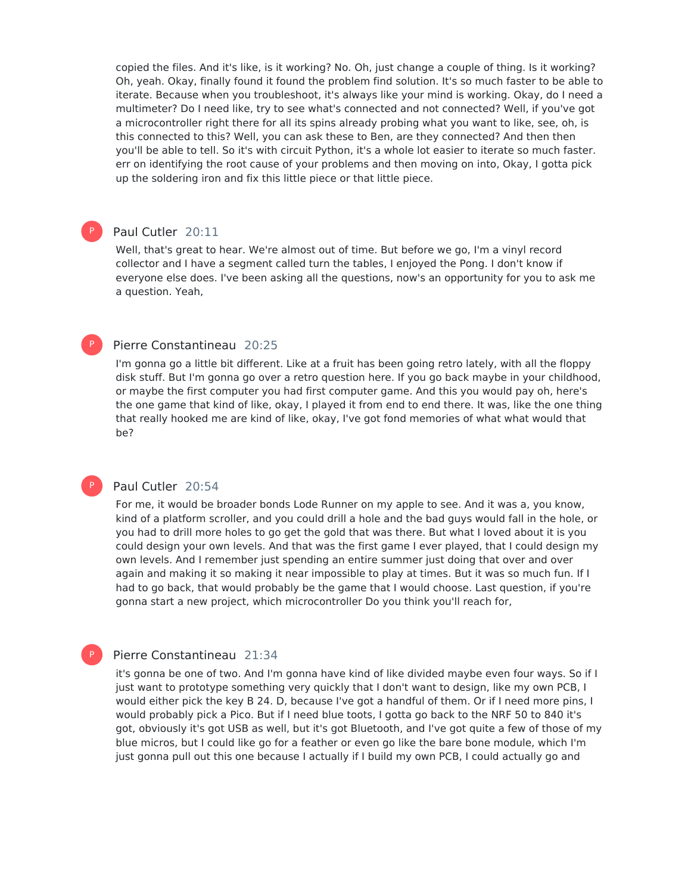copied the files. And it's like, is it working? No. Oh, just change a couple of thing. Is it working? Oh, yeah. Okay, finally found it found the problem find solution. It's so much faster to be able to iterate. Because when you troubleshoot, it's always like your mind is working. Okay, do I need a multimeter? Do I need like, try to see what's connected and not connected? Well, if you've got a microcontroller right there for all its spins already probing what you want to like, see, oh, is this connected to this? Well, you can ask these to Ben, are they connected? And then then you'll be able to tell. So it's with circuit Python, it's a whole lot easier to iterate so much faster. err on identifying the root cause of your problems and then moving on into, Okay, I gotta pick up the soldering iron and fix this little piece or that little piece.

# Paul Cutler 20:11

P

P

P

P

Well, that's great to hear. We're almost out of time. But before we go, I'm a vinyl record collector and I have a segment called turn the tables, I enjoyed the Pong. I don't know if everyone else does. I've been asking all the questions, now's an opportunity for you to ask me a question. Yeah,

#### Pierre Constantineau 20:25

I'm gonna go a little bit different. Like at a fruit has been going retro lately, with all the floppy disk stuff. But I'm gonna go over a retro question here. If you go back maybe in your childhood, or maybe the first computer you had first computer game. And this you would pay oh, here's the one game that kind of like, okay, I played it from end to end there. It was, like the one thing that really hooked me are kind of like, okay, I've got fond memories of what what would that be?

#### Paul Cutler 20:54

For me, it would be broader bonds Lode Runner on my apple to see. And it was a, you know, kind of a platform scroller, and you could drill a hole and the bad guys would fall in the hole, or you had to drill more holes to go get the gold that was there. But what I loved about it is you could design your own levels. And that was the first game I ever played, that I could design my own levels. And I remember just spending an entire summer just doing that over and over again and making it so making it near impossible to play at times. But it was so much fun. If I had to go back, that would probably be the game that I would choose. Last question, if you're gonna start a new project, which microcontroller Do you think you'll reach for,

## Pierre Constantineau 21:34

it's gonna be one of two. And I'm gonna have kind of like divided maybe even four ways. So if I just want to prototype something very quickly that I don't want to design, like my own PCB, I would either pick the key B 24. D, because I've got a handful of them. Or if I need more pins, I would probably pick a Pico. But if I need blue toots, I gotta go back to the NRF 50 to 840 it's got, obviously it's got USB as well, but it's got Bluetooth, and I've got quite a few of those of my blue micros, but I could like go for a feather or even go like the bare bone module, which I'm just gonna pull out this one because I actually if I build my own PCB, I could actually go and